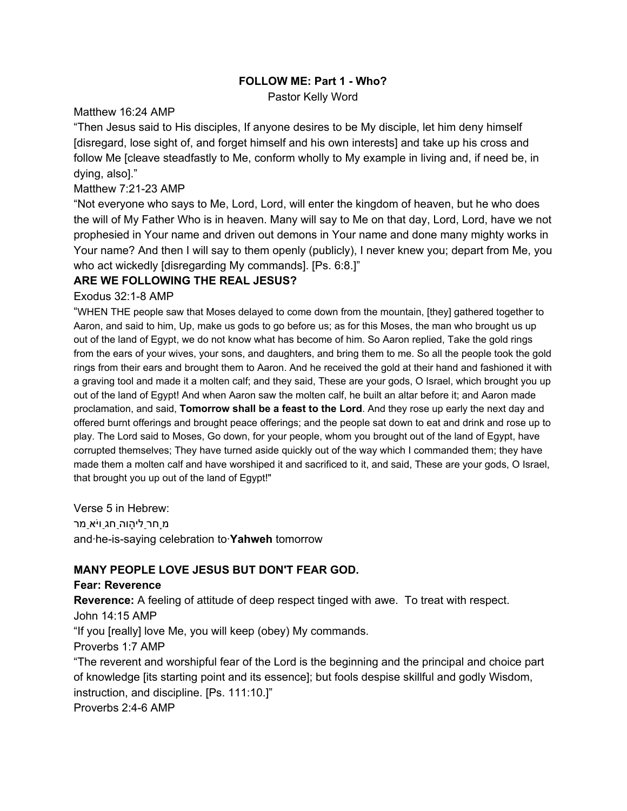## **FOLLOW ME: Part 1 Who?**

Pastor Kelly Word

Matthew 16:24 AMP

"Then Jesus said to His disciples, If anyone desires to be My disciple, let him deny himself [disregard, lose sight of, and forget himself and his own interests] and take up his cross and follow Me [cleave steadfastly to Me, conform wholly to My example in living and, if need be, in dying, also]."

### Matthew 7:21-23 AMP

"Not everyone who says to Me, Lord, Lord, will enter the kingdom of heaven, but he who does the will of My Father Who is in heaven. Many will say to Me on that day, Lord, Lord, have we not prophesied in Your name and driven out demons in Your name and done many mighty works in Your name? And then I will say to them openly (publicly), I never knew you; depart from Me, you who act wickedly [disregarding My commands]. [Ps. 6:8.]"

## **ARE WE FOLLOWING THE REAL JESUS?**

Exodus  $32:1-8$  AMP

"WHEN THE people saw that Moses delayed to come down from the mountain, [they] gathered together to Aaron, and said to him, Up, make us gods to go before us; as for this Moses, the man who brought us up out of the land of Egypt, we do not know what has become of him. So Aaron replied, Take the gold rings from the ears of your wives, your sons, and daughters, and bring them to me. So all the people took the gold rings from their ears and brought them to Aaron. And he received the gold at their hand and fashioned it with a graving tool and made it a molten calf; and they said, These are your gods, O Israel, which brought you up out of the land of Egypt! And when Aaron saw the molten calf, he built an altar before it; and Aaron made proclamation, and said, **Tomorrow shall be a feast to the Lord**. And they rose up early the next day and offered burnt offerings and brought peace offerings; and the people sat down to eat and drink and rose up to play. The Lord said to Moses, Go down, for your people, whom you brought out of the land of Egypt, have corrupted themselves; They have turned aside quickly out of the way which I commanded them; they have made them a molten calf and have worshiped it and sacrificed to it, and said, These are your gods, O Israel, that brought you up out of the land of Egypt!"

Verse 5 in Hebrew: מָחרַליָהוהַחגַויֹּאַמר and∙he-is-saying celebration to∙Yahweh tomorrow

## **MANY PEOPLE LOVE JESUS BUT DON'T FEAR GOD.**

**Fear: Reverence Reverence:** A feeling of attitude of deep respect tinged with awe. To treat with respect. John 14:15 AMP "If you [really] love Me, you will keep (obey) My commands. Proverbs 1:7 AMP "The reverent and worshipful fear of the Lord is the beginning and the principal and choice part of knowledge [its starting point and its essence]; but fools despise skillful and godly Wisdom, instruction, and discipline. [Ps. 111:10.]" Proverbs 2:4-6 AMP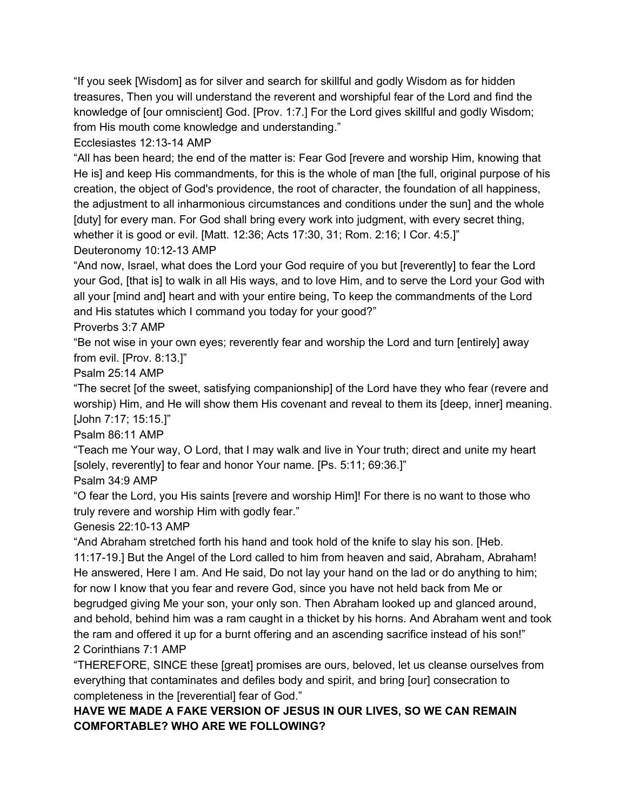"If you seek [Wisdom] as for silver and search for skillful and godly Wisdom as for hidden treasures, Then you will understand the reverent and worshipful fear of the Lord and find the knowledge of [our omniscient] God. [Prov. 1:7.] For the Lord gives skillful and godly Wisdom; from His mouth come knowledge and understanding."

Ecclesiastes 12:13-14 AMP

"All has been heard; the end of the matter is: Fear God [revere and worship Him, knowing that He is] and keep His commandments, for this is the whole of man [the full, original purpose of his creation, the object of God's providence, the root of character, the foundation of all happiness, the adjustment to all inharmonious circumstances and conditions under the sun] and the whole [duty] for every man. For God shall bring every work into judgment, with every secret thing, whether it is good or evil. [Matt. 12:36; Acts 17:30, 31; Rom. 2:16; I Cor. 4:5.]" Deuteronomy 10:12-13 AMP

"And now, Israel, what does the Lord your God require of you but [reverently] to fear the Lord your God, [that is] to walk in all His ways, and to love Him, and to serve the Lord your God with all your [mind and] heart and with your entire being, To keep the commandments of the Lord and His statutes which I command you today for your good?"

Proverbs 3:7 AMP

"Be not wise in your own eyes; reverently fear and worship the Lord and turn [entirely] away from evil. [Prov. 8:13.]"

Psalm 25:14 AMP

"The secret [of the sweet, satisfying companionship] of the Lord have they who fear (revere and worship) Him, and He will show them His covenant and reveal to them its [deep, inner] meaning. [John 7:17; 15:15.]"

Psalm 86:11 AMP

"Teach me Your way, O Lord, that I may walk and live in Your truth; direct and unite my heart [solely, reverently] to fear and honor Your name. [Ps. 5:11; 69:36.]"

Psalm 34:9 AMP

"O fear the Lord, you His saints [revere and worship Him]! For there is no want to those who truly revere and worship Him with godly fear."

Genesis 22:10-13 AMP

"And Abraham stretched forth his hand and took hold of the knife to slay his son. [Heb.

11:17-19.] But the Angel of the Lord called to him from heaven and said, Abraham, Abraham! He answered, Here I am. And He said, Do not lay your hand on the lad or do anything to him; for now I know that you fear and revere God, since you have not held back from Me or begrudged giving Me your son, your only son. Then Abraham looked up and glanced around, and behold, behind him was a ram caught in a thicket by his horns. And Abraham went and took the ram and offered it up for a burnt offering and an ascending sacrifice instead of his son!" 2 Corinthians 7:1 AMP

"THEREFORE, SINCE these [great] promises are ours, beloved, let us cleanse ourselves from everything that contaminates and defiles body and spirit, and bring [our] consecration to completeness in the [reverential] fear of God."

**HAVE WE MADE A FAKE VERSION OF JESUS IN OUR LIVES, SO WE CAN REMAIN COMFORTABLE? WHO ARE WE FOLLOWING?**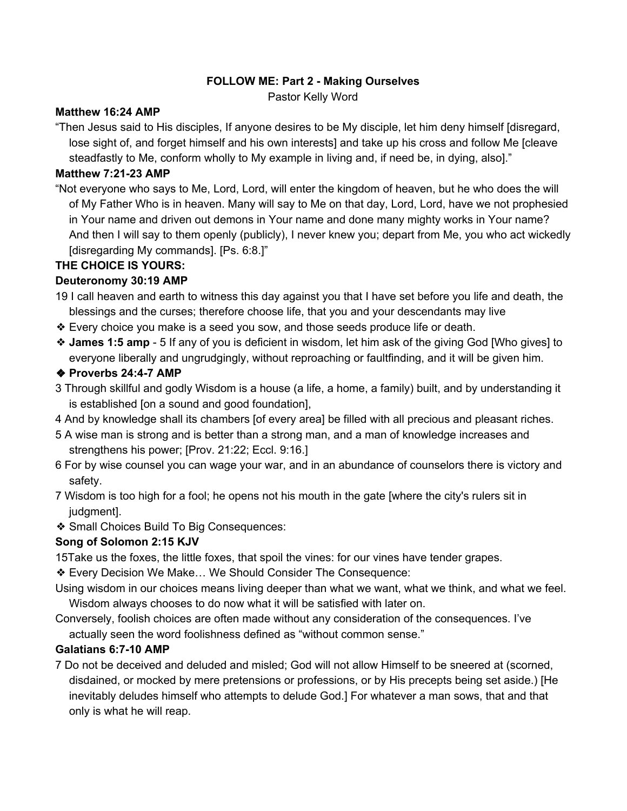## **FOLLOW ME: Part 2 Making Ourselves**

Pastor Kelly Word

## **Matthew 16:24 AMP**

"Then Jesus said to His disciples, If anyone desires to be My disciple, let him deny himself [disregard, lose sight of, and forget himself and his own interests] and take up his cross and follow Me [cleave steadfastly to Me, conform wholly to My example in living and, if need be, in dying, also]."

## **Matthew 7:2123 AMP**

"Not everyone who says to Me, Lord, Lord, will enter the kingdom of heaven, but he who does the will of My Father Who is in heaven. Many will say to Me on that day, Lord, Lord, have we not prophesied in Your name and driven out demons in Your name and done many mighty works in Your name? And then I will say to them openly (publicly), I never knew you; depart from Me, you who act wickedly [disregarding My commands]. [Ps. 6:8.]"

# **THE CHOICE IS YOURS:**

# **Deuteronomy 30:19 AMP**

- 19 I call heaven and earth to witness this day against you that I have set before you life and death, the blessings and the curses; therefore choose life, that you and your descendants may live
- ❖ Every choice you make is a seed you sow, and those seeds produce life or death.
- ❖ **James 1:5 amp** 5 If any of you is deficient in wisdom, let him ask of the giving God [Who gives] to everyone liberally and ungrudgingly, without reproaching or faultfinding, and it will be given him.

# ❖ **Proverbs 24:47 AMP**

- 3 Through skillful and godly Wisdom is a house (a life, a home, a family) built, and by understanding it is established [on a sound and good foundation],
- 4 And by knowledge shall its chambers [of every area] be filled with all precious and pleasant riches.
- 5 A wise man is strong and is better than a strong man, and a man of knowledge increases and strengthens his power; [Prov. 21:22; Eccl. 9:16.]
- 6 For by wise counsel you can wage your war, and in an abundance of counselors there is victory and safety.
- 7 Wisdom is too high for a fool; he opens not his mouth in the gate [where the city's rulers sit in judgment].
- ❖ Small Choices Build To Big Consequences:

# **Song of Solomon 2:15 KJV**

15Take us the foxes, the little foxes, that spoil the vines: for our vines have tender grapes.

❖ Every Decision We Make… We Should Consider The Consequence:

Using wisdom in our choices means living deeper than what we want, what we think, and what we feel. Wisdom always chooses to do now what it will be satisfied with later on.

Conversely, foolish choices are often made without any consideration of the consequences. I've actually seen the word foolishness defined as "without common sense."

# **Galatians 6:710 AMP**

7 Do not be deceived and deluded and misled; God will not allow Himself to be sneered at (scorned, disdained, or mocked by mere pretensions or professions, or by His precepts being set aside.) [He inevitably deludes himself who attempts to delude God.] For whatever a man sows, that and that only is what he will reap.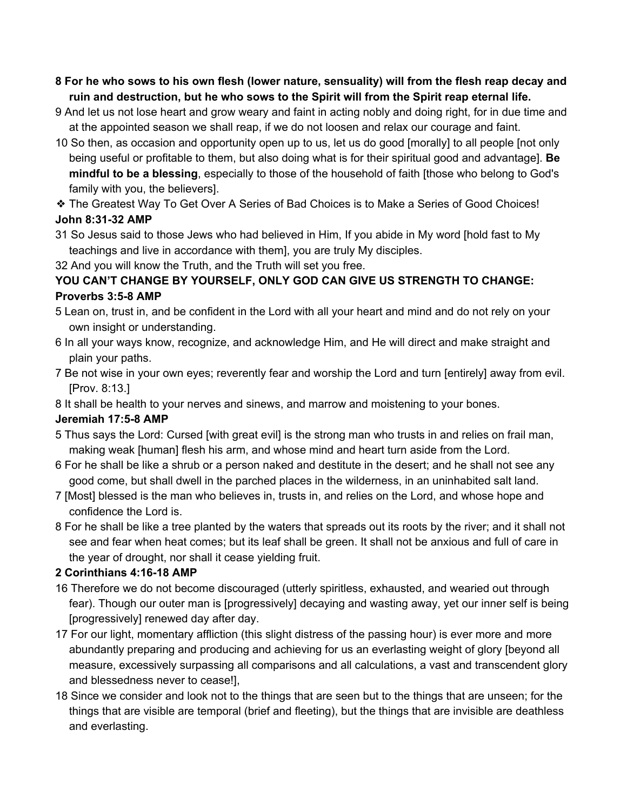- 8 For he who sows to his own flesh (lower nature, sensuality) will from the flesh reap decay and **ruin and destruction, but he who sows to the Spirit will from the Spirit reap eternal life.**
- 9 And let us not lose heart and grow weary and faint in acting nobly and doing right, for in due time and at the appointed season we shall reap, if we do not loosen and relax our courage and faint.
- 10 So then, as occasion and opportunity open up to us, let us do good [morally] to all people [not only being useful or profitable to them, but also doing what is for their spiritual good and advantage]. **Be mindful to be a blessing**, especially to those of the household of faith [those who belong to God's family with you, the believers].
- ❖ The Greatest Way To Get Over A Series of Bad Choices is to Make a Series of Good Choices! **John 8:3132 AMP**
- 31 So Jesus said to those Jews who had believed in Him, If you abide in My word [hold fast to My teachings and live in accordance with them], you are truly My disciples.
- 32 And you will know the Truth, and the Truth will set you free.

# **YOU CAN'T CHANGE BY YOURSELF, ONLY GOD CAN GIVE US STRENGTH TO CHANGE: Proverbs 3:58 AMP**

- 5 Lean on, trust in, and be confident in the Lord with all your heart and mind and do not rely on your own insight or understanding.
- 6 In all your ways know, recognize, and acknowledge Him, and He will direct and make straight and plain your paths.
- 7 Be not wise in your own eyes; reverently fear and worship the Lord and turn [entirely] away from evil. [Prov. 8:13.]
- 8 It shall be health to your nerves and sinews, and marrow and moistening to your bones.

# **Jeremiah 17:58 AMP**

- 5 Thus says the Lord: Cursed [with great evil] is the strong man who trusts in and relies on frail man, making weak [human] flesh his arm, and whose mind and heart turn aside from the Lord.
- 6 For he shall be like a shrub or a person naked and destitute in the desert; and he shall not see any good come, but shall dwell in the parched places in the wilderness, in an uninhabited salt land.
- 7 [Most] blessed is the man who believes in, trusts in, and relies on the Lord, and whose hope and confidence the Lord is.
- 8 For he shall be like a tree planted by the waters that spreads out its roots by the river; and it shall not see and fear when heat comes; but its leaf shall be green. It shall not be anxious and full of care in the year of drought, nor shall it cease yielding fruit.

# **2 Corinthians 4:1618 AMP**

- 16 Therefore we do not become discouraged (utterly spiritless, exhausted, and wearied out through fear). Though our outer man is [progressively] decaying and wasting away, yet our inner self is being [progressively] renewed day after day.
- 17 For our light, momentary affliction (this slight distress of the passing hour) is ever more and more abundantly preparing and producing and achieving for us an everlasting weight of glory [beyond all measure, excessively surpassing all comparisons and all calculations, a vast and transcendent glory and blessedness never to cease!],
- 18 Since we consider and look not to the things that are seen but to the things that are unseen; for the things that are visible are temporal (brief and fleeting), but the things that are invisible are deathless and everlasting.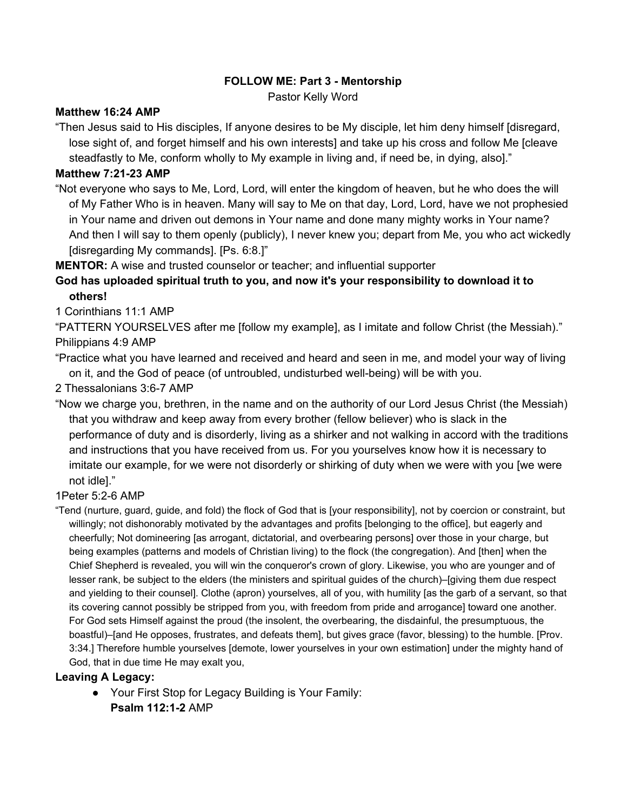## **FOLLOW ME: Part 3 Mentorship**

Pastor Kelly Word

### **Matthew 16:24 AMP**

"Then Jesus said to His disciples, If anyone desires to be My disciple, let him deny himself [disregard, lose sight of, and forget himself and his own interests] and take up his cross and follow Me [cleave steadfastly to Me, conform wholly to My example in living and, if need be, in dying, also]."

### **Matthew 7:2123 AMP**

"Not everyone who says to Me, Lord, Lord, will enter the kingdom of heaven, but he who does the will of My Father Who is in heaven. Many will say to Me on that day, Lord, Lord, have we not prophesied in Your name and driven out demons in Your name and done many mighty works in Your name? And then I will say to them openly (publicly), I never knew you; depart from Me, you who act wickedly [disregarding My commands]. [Ps. 6:8.]"

**MENTOR:** A wise and trusted counselor or teacher; and influential supporter

# **God has uploaded spiritual truth to you, and now it's your responsibility to download it to others!**

1 Corinthians 11:1 AMP

"PATTERN YOURSELVES after me [follow my example], as I imitate and follow Christ (the Messiah)." Philippians 4:9 AMP

"Practice what you have learned and received and heard and seen in me, and model your way of living on it, and the God of peace (of untroubled, undisturbed well-being) will be with you.

2 Thessalonians 3:6-7 AMP

"Now we charge you, brethren, in the name and on the authority of our Lord Jesus Christ (the Messiah) that you withdraw and keep away from every brother (fellow believer) who is slack in the performance of duty and is disorderly, living as a shirker and not walking in accord with the traditions and instructions that you have received from us. For you yourselves know how it is necessary to imitate our example, for we were not disorderly or shirking of duty when we were with you [we were not idle]."

1Peter 5:2-6 AMP

"Tend (nurture, guard, guide, and fold) the flock of God that is [your responsibility], not by coercion or constraint, but willingly; not dishonorably motivated by the advantages and profits [belonging to the office], but eagerly and cheerfully; Not domineering [as arrogant, dictatorial, and overbearing persons] over those in your charge, but being examples (patterns and models of Christian living) to the flock (the congregation). And [then] when the Chief Shepherd is revealed, you will win the conqueror's crown of glory. Likewise, you who are younger and of lesser rank, be subject to the elders (the ministers and spiritual guides of the church)–[giving them due respect and yielding to their counsel]. Clothe (apron) yourselves, all of you, with humility [as the garb of a servant, so that its covering cannot possibly be stripped from you, with freedom from pride and arrogance] toward one another. For God sets Himself against the proud (the insolent, the overbearing, the disdainful, the presumptuous, the boastful)–[and He opposes, frustrates, and defeats them], but gives grace (favor, blessing) to the humble. [Prov. 3:34.] Therefore humble yourselves [demote, lower yourselves in your own estimation] under the mighty hand of God, that in due time He may exalt you,

## **Leaving A Legacy:**

● Your First Stop for Legacy Building is Your Family: **Psalm 112:1-2 AMP**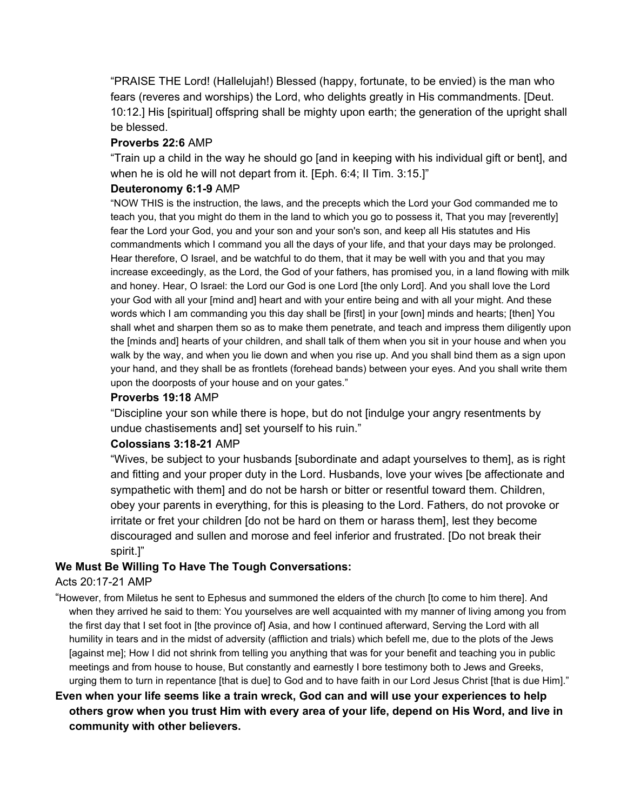"PRAISE THE Lord! (Hallelujah!) Blessed (happy, fortunate, to be envied) is the man who fears (reveres and worships) the Lord, who delights greatly in His commandments. [Deut. 10:12.] His [spiritual] offspring shall be mighty upon earth; the generation of the upright shall be blessed.

## **Proverbs 22:6**AMP

"Train up a child in the way he should go [and in keeping with his individual gift or bent], and when he is old he will not depart from it. [Eph. 6:4; II Tim. 3:15.]"

## **Deuteronomy 6:19**AMP

"NOW THIS is the instruction, the laws, and the precepts which the Lord your God commanded me to teach you, that you might do them in the land to which you go to possess it, That you may [reverently] fear the Lord your God, you and your son and your son's son, and keep all His statutes and His commandments which I command you all the days of your life, and that your days may be prolonged. Hear therefore, O Israel, and be watchful to do them, that it may be well with you and that you may increase exceedingly, as the Lord, the God of your fathers, has promised you, in a land flowing with milk and honey. Hear, O Israel: the Lord our God is one Lord [the only Lord]. And you shall love the Lord your God with all your [mind and] heart and with your entire being and with all your might. And these words which I am commanding you this day shall be [first] in your [own] minds and hearts; [then] You shall whet and sharpen them so as to make them penetrate, and teach and impress them diligently upon the [minds and] hearts of your children, and shall talk of them when you sit in your house and when you walk by the way, and when you lie down and when you rise up. And you shall bind them as a sign upon your hand, and they shall be as frontlets (forehead bands) between your eyes. And you shall write them upon the doorposts of your house and on your gates."

## **Proverbs 19:18** AMP

"Discipline your son while there is hope, but do not [indulge your angry resentments by undue chastisements and] set yourself to his ruin."

### **Colossians 3:1821**AMP

"Wives, be subject to your husbands [subordinate and adapt yourselves to them], as is right and fitting and your proper duty in the Lord. Husbands, love your wives [be affectionate and sympathetic with them] and do not be harsh or bitter or resentful toward them. Children, obey your parents in everything, for this is pleasing to the Lord. Fathers, do not provoke or irritate or fret your children [do not be hard on them or harass them], lest they become discouraged and sullen and morose and feel inferior and frustrated. [Do not break their spirit.]"

## **We Must Be Willing To Have The Tough Conversations:**

## Acts 20:17-21 AMP

- "However, from Miletus he sent to Ephesus and summoned the elders of the church [to come to him there]. And when they arrived he said to them: You yourselves are well acquainted with my manner of living among you from the first day that I set foot in [the province of] Asia, and how I continued afterward, Serving the Lord with all humility in tears and in the midst of adversity (affliction and trials) which befell me, due to the plots of the Jews [against me]; How I did not shrink from telling you anything that was for your benefit and teaching you in public meetings and from house to house, But constantly and earnestly I bore testimony both to Jews and Greeks, urging them to turn in repentance [that is due] to God and to have faith in our Lord Jesus Christ [that is due Him]."
- **Even when your life seems like a train wreck, God can and will use your experiences to help** others grow when you trust Him with every area of your life, depend on His Word, and live in **community with other believers.**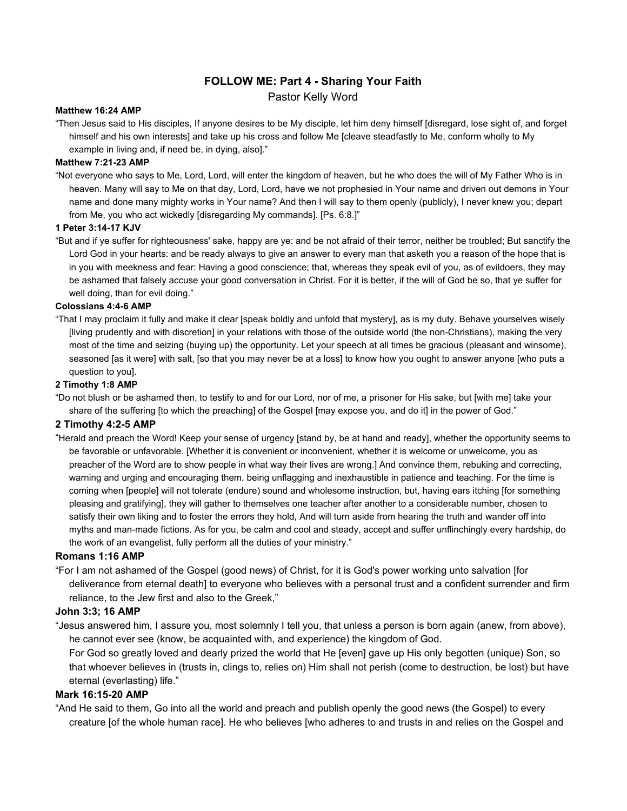### **FOLLOW ME: Part 4 Sharing Your Faith**

Pastor Kelly Word

#### **Matthew 16:24 AMP**

"Then Jesus said to His disciples, If anyone desires to be My disciple, let him deny himself [disregard, lose sight of, and forget himself and his own interests] and take up his cross and follow Me [cleave steadfastly to Me, conform wholly to My example in living and, if need be, in dying, also]."

#### **Matthew 7:2123 AMP**

"Not everyone who says to Me, Lord, Lord, will enter the kingdom of heaven, but he who does the will of My Father Who is in heaven. Many will say to Me on that day, Lord, Lord, have we not prophesied in Your name and driven out demons in Your name and done many mighty works in Your name? And then I will say to them openly (publicly), I never knew you; depart from Me, you who act wickedly [disregarding My commands]. [Ps. 6:8.]"

#### **1 Peter 3:1417 KJV**

"But and if ye suffer for righteousness' sake, happy are ye: and be not afraid of their terror, neither be troubled; But sanctify the Lord God in your hearts: and be ready always to give an answer to every man that asketh you a reason of the hope that is in you with meekness and fear: Having a good conscience; that, whereas they speak evil of you, as of evildoers, they may be ashamed that falsely accuse your good conversation in Christ. For it is better, if the will of God be so, that ye suffer for well doing, than for evil doing."

#### **Colossians 4:46 AMP**

"That I may proclaim it fully and make it clear [speak boldly and unfold that mystery], as is my duty. Behave yourselves wisely [living prudently and with discretion] in your relations with those of the outside world (the non-Christians), making the very most of the time and seizing (buying up) the opportunity. Let your speech at all times be gracious (pleasant and winsome), seasoned [as it were] with salt, [so that you may never be at a loss] to know how you ought to answer anyone [who puts a question to you].

#### **2 Timothy 1:8 AMP**

"Do not blush or be ashamed then, to testify to and for our Lord, nor of me, a prisoner for His sake, but [with me] take your share of the suffering [to which the preaching] of the Gospel [may expose you, and do it] in the power of God."

#### **2 Timothy 4:25 AMP**

"Herald and preach the Word! Keep your sense of urgency [stand by, be at hand and ready], whether the opportunity seems to be favorable or unfavorable. [Whether it is convenient or inconvenient, whether it is welcome or unwelcome, you as preacher of the Word are to show people in what way their lives are wrong.] And convince them, rebuking and correcting, warning and urging and encouraging them, being unflagging and inexhaustible in patience and teaching. For the time is coming when [people] will not tolerate (endure) sound and wholesome instruction, but, having ears itching [for something pleasing and gratifying], they will gather to themselves one teacher after another to a considerable number, chosen to satisfy their own liking and to foster the errors they hold, And will turn aside from hearing the truth and wander off into myths and man-made fictions. As for you, be calm and cool and steady, accept and suffer unflinchingly every hardship, do the work of an evangelist, fully perform all the duties of your ministry."

#### **Romans 1:16 AMP**

"For I am not ashamed of the Gospel (good news) of Christ, for it is God's power working unto salvation [for deliverance from eternal death] to everyone who believes with a personal trust and a confident surrender and firm reliance, to the Jew first and also to the Greek,"

#### **John 3:3; 16 AMP**

"Jesus answered him, I assure you, most solemnly I tell you, that unless a person is born again (anew, from above), he cannot ever see (know, be acquainted with, and experience) the kingdom of God.

For God so greatly loved and dearly prized the world that He [even] gave up His only begotten (unique) Son, so that whoever believes in (trusts in, clings to, relies on) Him shall not perish (come to destruction, be lost) but have eternal (everlasting) life."

#### **Mark 16:1520 AMP**

"And He said to them, Go into all the world and preach and publish openly the good news (the Gospel) to every creature [of the whole human race]. He who believes [who adheres to and trusts in and relies on the Gospel and